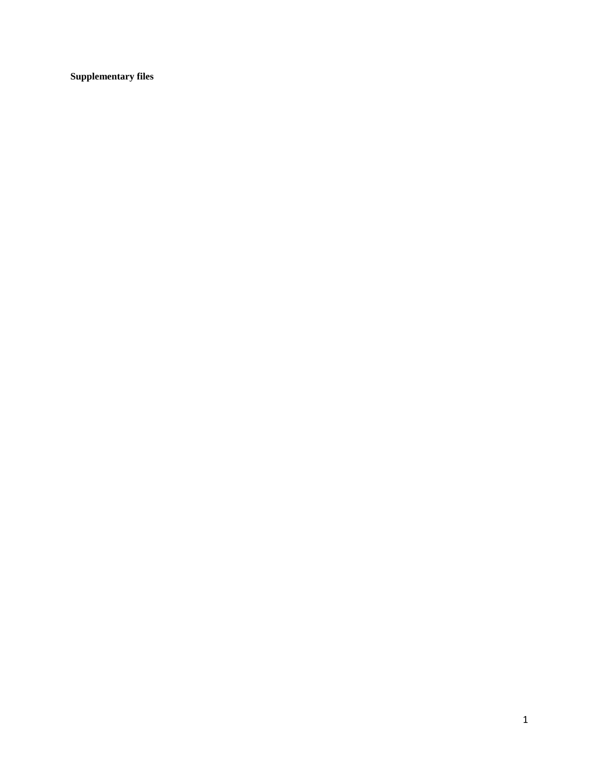**Supplementary files**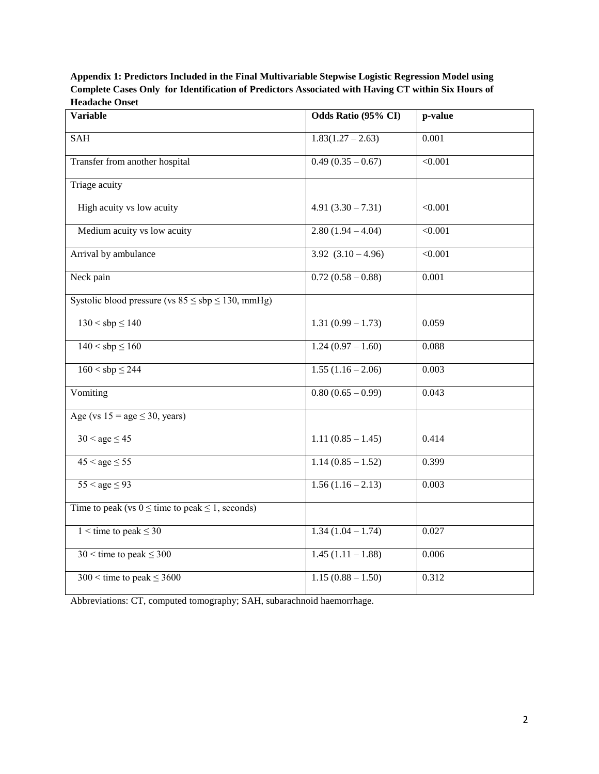**Appendix 1: Predictors Included in the Final Multivariable Stepwise Logistic Regression Model using Complete Cases Only for Identification of Predictors Associated with Having CT within Six Hours of Headache Onset**

| Variable                                                 | Odds Ratio (95% CI)    | p-value |
|----------------------------------------------------------|------------------------|---------|
| <b>SAH</b>                                               | $1.83(1.27 - 2.63)$    | 0.001   |
| Transfer from another hospital                           | $0.49(0.35-0.67)$      | < 0.001 |
| Triage acuity                                            |                        |         |
| High acuity vs low acuity                                | $4.91(3.30 - 7.31)$    | < 0.001 |
| Medium acuity vs low acuity                              | $2.80(1.94 - 4.04)$    | < 0.001 |
| Arrival by ambulance                                     | $3.92$ $(3.10 - 4.96)$ | < 0.001 |
| Neck pain                                                | $0.72(0.58-0.88)$      | 0.001   |
| Systolic blood pressure (vs $85 \le sbp \le 130$ , mmHg) |                        |         |
| $130 <$ sbp $\leq 140$                                   | $1.31(0.99 - 1.73)$    | 0.059   |
| $140 <$ sbp $\leq 160$                                   | $1.24(0.97 - 1.60)$    | 0.088   |
| $160 <$ sbp $\leq$ 244                                   | $1.55(1.16-2.06)$      | 0.003   |
| Vomiting                                                 | $0.80(0.65 - 0.99)$    | 0.043   |
| Age (vs $15 = age \le 30$ , years)                       |                        |         |
| $30 <$ age $\leq 45$                                     | $1.11(0.85 - 1.45)$    | 0.414   |
| $45 <$ age $\leq 55$                                     | $1.14(0.85 - 1.52)$    | 0.399   |
| $55 <$ age $\leq 93$                                     | $1.56(1.16-2.13)$      | 0.003   |
| Time to peak (vs $0 \le$ time to peak $\le$ 1, seconds)  |                        |         |
| $1 \le$ time to peak $\le$ 30                            | $1.34(1.04 - 1.74)$    | 0.027   |
| $30 \le$ time to peak $\leq 300$                         | $1.45(1.11 - 1.88)$    | 0.006   |
| $300 \leq$ time to peak $\leq 3600$                      | $1.15(0.88 - 1.50)$    | 0.312   |

Abbreviations: CT, computed tomography; SAH, subarachnoid haemorrhage.